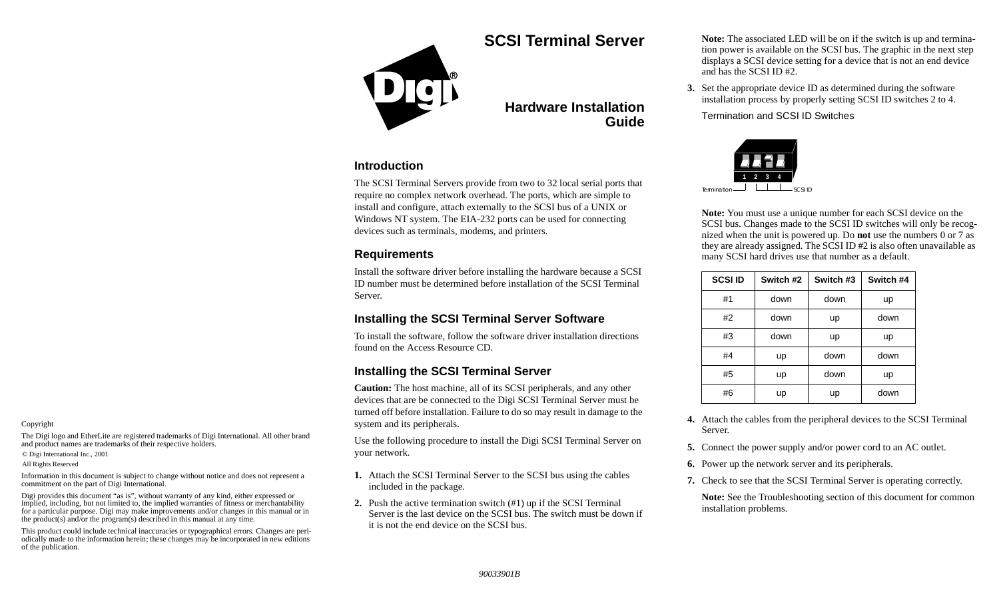# **SCSI Terminal Server**

# **Hardware InstallationGuide**

### **Introduction**

The SCSI Terminal Servers provide from two to 32 local serial ports that require no complex network overhead. The ports, which are simple to install and configure, attach externally to the SCSI bus of a UNIX or Windows NT system. The EIA-232 ports can be used for connecting devices such as terminals, modems, and printers.

### **Requirements**

Install the software driver before installing the hardware because a SCSI ID number must be determined before installation of the SCSI Terminal Server.

### **Installing the SCSI Terminal Server Software**

To install the software, follow the software driver installation directions found on the Access Resource CD.

### **Installing the SCSI Terminal Server**

**Caution:** The host machine, all of its SCSI peripherals, and any other devices that are be connected to the Digi SCSI Terminal Server must be turned off before installation. Failure to do so may result in damage to the system and its peripherals.

Use the following procedure to install the Digi SCSI Terminal Server on your network.

- **1.** Attach the SCSI Terminal Server to the SCSI bus using the cables included in the package.
- **2.** Push the active termination switch (#1) up if the SCSI Terminal Server is the last device on the SCSI bus. The switch must be down if it is not the end device on the SCSI bus.

**Note:** The associated LED will be on if the switch is up and termination power is available on the SCSI bus. The graphic in the next step displays a SCSI device setting for a device that is not an end device and has the SCSI ID #2.

**3.** Set the appropriate device ID as determined during the software installation process by properly setting SCSI ID switches 2 to 4.

Termination and SCSI ID Switches



**Note:** You must use a unique number for each SCSI device on the SCSI bus. Changes made to the SCSI ID switches will only be recognized when the unit is powered up. Do **not** use the numbers 0 or 7 as they are already assigned. The SCSI ID #2 is also often unavailable as many SCSI hard drives use that number as a default.

| <b>SCSI ID</b> | Switch #2      | Switch #3 | Switch #4  |  |
|----------------|----------------|-----------|------------|--|
| #1             | down           | down      | up         |  |
| #2             | down           | up        |            |  |
| #3             | down           | up        | up<br>down |  |
| #4             | up             | down      |            |  |
| #5             | up<br>#6<br>up |           | up         |  |
|                |                |           | down       |  |

- **4.** Attach the cables from the peripheral devices to the SCSI Terminal Server.
- **5.** Connect the power supply and/or power cord to an AC outlet.
- **6.** Power up the network server and its peripherals.
- **7.** Check to see that the SCSI Terminal Server is operating correctly.

**Note:** See the Troubleshooting section of this document for common installation problems.

#### Copyright

The Digi logo and EtherLite are registered trademarks of Digi International. All other brand and product names are trademarks of their respective holders.

© Digi International Inc., 2001

All Rights Reserved

Information in this document is subject to change without notice and does not represent a commitment on the part of Digi International.

Digi provides this document "as is", without warranty of any kind, either expressed or implied, including, but not limited to, the implied warranties of fitness or merchantability for a particular purpose. Digi may make improvements and/or changes in this manual or in the product(s) and/or the program(s) described in this manual at any time.

This product could include technical inaccuracies or typographical errors. Changes are periodically made to the information herein; these changes may be incorporated in new editions of the publication.